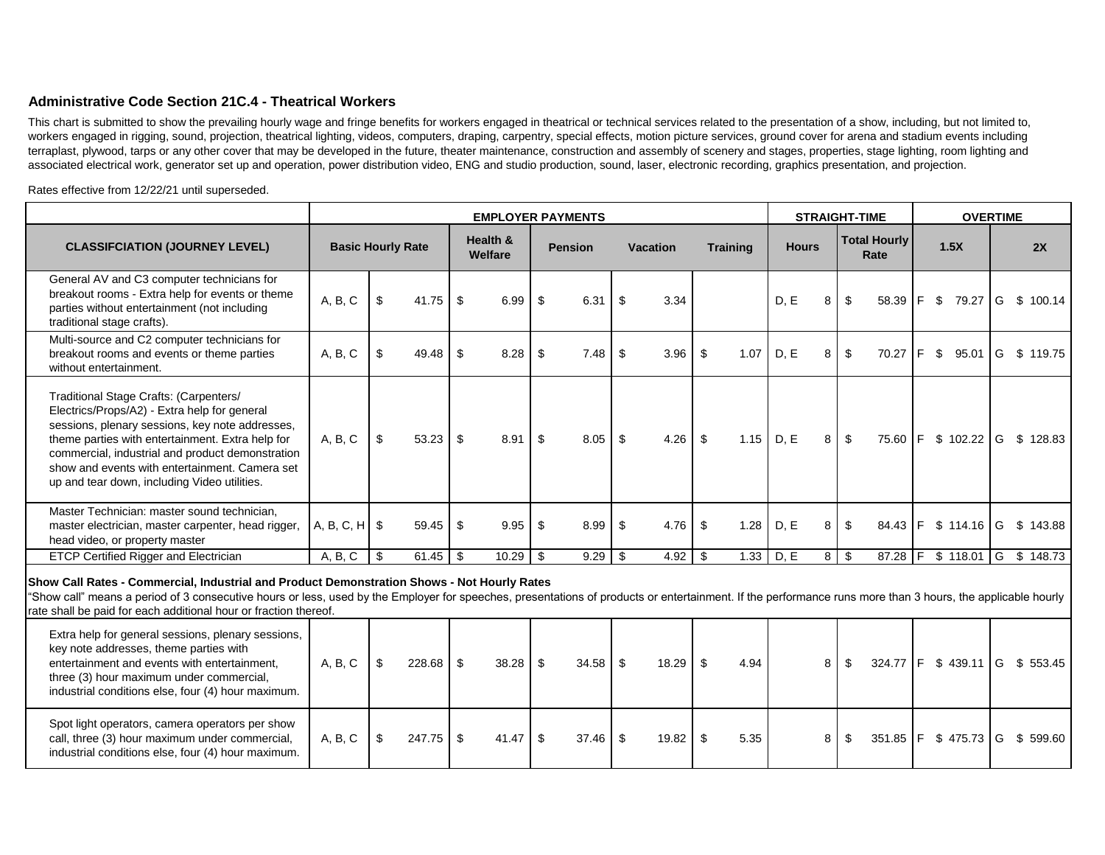## **Administrative Code Section 21C.4 - Theatrical Workers**

This chart is submitted to show the prevailing hourly wage and fringe benefits for workers engaged in theatrical or technical services related to the presentation of a show, including, but not limited to, workers engaged in rigging, sound, projection, theatrical lighting, videos, computers, draping, carpentry, special effects, motion picture services, ground cover for arena and stadium events including terraplast, plywood, tarps or any other cover that may be developed in the future, theater maintenance, construction and assembly of scenery and stages, properties, stage lighting, room lighting and associated electrical work, generator set up and operation, power distribution video, ENG and studio production, sound, laser, electronic recording, graphics presentation, and projection.

Rates effective from 12/22/21 until superseded.

|                                                                                                                                                                                                                                                                                                                                                                               |                          |                         |        |      | <b>EMPLOYER PAYMENTS</b> |      |                |    | <b>STRAIGHT-TIME</b> |     |                 |              | <b>OVERTIME</b> |             |                             |    |      |               |   |                               |  |
|-------------------------------------------------------------------------------------------------------------------------------------------------------------------------------------------------------------------------------------------------------------------------------------------------------------------------------------------------------------------------------|--------------------------|-------------------------|--------|------|--------------------------|------|----------------|----|----------------------|-----|-----------------|--------------|-----------------|-------------|-----------------------------|----|------|---------------|---|-------------------------------|--|
| <b>CLASSIFCIATION (JOURNEY LEVEL)</b>                                                                                                                                                                                                                                                                                                                                         | <b>Basic Hourly Rate</b> |                         |        |      | Health &<br>Welfare      |      | <b>Pension</b> |    | <b>Vacation</b>      |     | <b>Training</b> | <b>Hours</b> |                 |             | <b>Total Hourly</b><br>Rate |    | 1.5X |               |   | 2X                            |  |
| General AV and C3 computer technicians for<br>breakout rooms - Extra help for events or theme<br>parties without entertainment (not including<br>traditional stage crafts).                                                                                                                                                                                                   | A, B, C                  | \$                      | 41.75  | \$   | 6.99                     | - \$ | 6.31           | \$ | 3.34                 |     |                 | D.E          | 8               | \$          | 58.39                       | F. | - \$ | 79.27         | G | \$100.14                      |  |
| Multi-source and C2 computer technicians for<br>breakout rooms and events or theme parties<br>without entertainment.                                                                                                                                                                                                                                                          | A, B, C                  | \$                      | 49.48  | \$   | 8.28                     | -\$  | 7.48           | \$ | 3.96                 | \$  | 1.07            | D, E         | 8               | \$          | 70.27                       | F. | \$   | 95.01         |   | G \$ 119.75                   |  |
| Traditional Stage Crafts: (Carpenters/<br>Electrics/Props/A2) - Extra help for general<br>sessions, plenary sessions, key note addresses,<br>theme parties with entertainment. Extra help for<br>commercial, industrial and product demonstration<br>show and events with entertainment. Camera set<br>up and tear down, including Video utilities.                           | A, B, C                  | $\sqrt[6]{\frac{1}{2}}$ | 53.23  | - \$ | 8.91                     | \$   | 8.05           | \$ | 4.26                 | \$  | 1.15            | D, E         | 8               | \$          |                             |    |      |               |   | 75.60 F \$ 102.22 G \$ 128.83 |  |
| Master Technician: master sound technician,<br>master electrician, master carpenter, head rigger,<br>head video, or property master                                                                                                                                                                                                                                           | A, B, C, H               | -\$                     | 59.45  | -\$  | 9.95                     | -\$  | 8.99           | \$ | 4.76                 | \$  | 1.28            | D, E         | 8               | \$          | 84.43                       |    |      | F \$ 114.16 G |   | \$143.88                      |  |
| <b>ETCP Certified Rigger and Electrician</b>                                                                                                                                                                                                                                                                                                                                  | A, B, C                  | \$                      | 61.45  | l \$ | 10.29                    | -\$  |                |    | 4.92                 | -\$ | 1.33            | D, E         |                 | $8 \mid$ \$ | $87.28$ F                   |    |      |               |   | $$118.01$ G $$148.73$         |  |
| Show Call Rates - Commercial, Industrial and Product Demonstration Shows - Not Hourly Rates<br>"Show call" means a period of 3 consecutive hours or less, used by the Employer for speeches, presentations of products or entertainment. If the performance runs more than 3 hours, the applicable hourly<br>rate shall be paid for each additional hour or fraction thereof. |                          |                         |        |      |                          |      |                |    |                      |     |                 |              |                 |             |                             |    |      |               |   |                               |  |
| Extra help for general sessions, plenary sessions,<br>key note addresses, theme parties with<br>entertainment and events with entertainment,<br>three (3) hour maximum under commercial,<br>industrial conditions else, four (4) hour maximum.                                                                                                                                | A, B, C                  | $\sqrt[6]{3}$           | 228.68 | \$   |                          |      | 34.58          | -S | 18.29                | \$  | 4.94            |              | 8               | \$          | 324.77                      |    |      | $F$ \$ 439.11 |   | G \$ 553.45                   |  |
| Spot light operators, camera operators per show<br>call, three (3) hour maximum under commercial,<br>industrial conditions else, four (4) hour maximum.                                                                                                                                                                                                                       | A, B, C                  | \$                      | 247.75 | \$   |                          |      | 37.46          | \$ | 19.82                | \$  | 5.35            |              | 8               | \$          | 351.85                      |    |      | F \$475.73 G  |   | \$599.60                      |  |